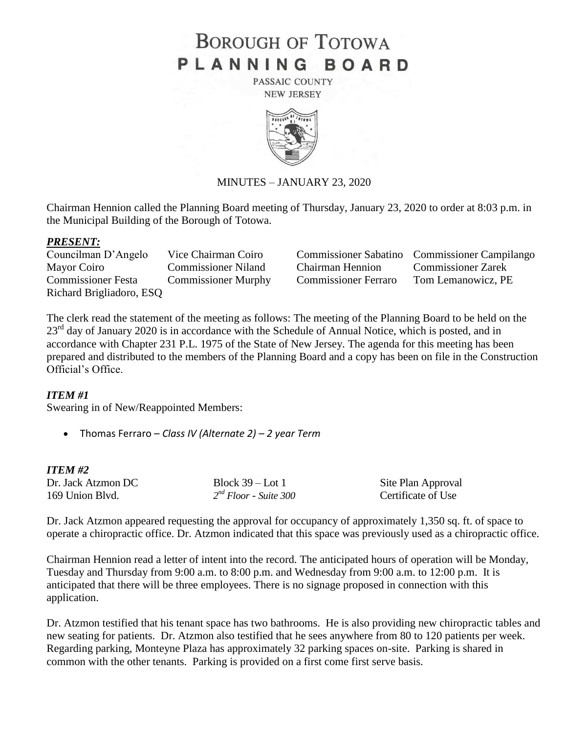# **BOROUGH OF TOTOWA** PLANNING BOARD

PASSAIC COUNTY **NEW JERSEY** 



# MINUTES – JANUARY 23, 2020

Chairman Hennion called the Planning Board meeting of Thursday, January 23, 2020 to order at 8:03 p.m. in the Municipal Building of the Borough of Totowa.

### *PRESENT:*

Mayor Coiro Commissioner Niland Chairman Hennion Commissioner Zarek Commissioner Festa Commissioner Murphy Commissioner Ferraro Tom Lemanowicz, PE Richard Brigliadoro, ESQ

Councilman D'Angelo Vice Chairman Coiro Commissioner Sabatino Commissioner Campilango

The clerk read the statement of the meeting as follows: The meeting of the Planning Board to be held on the  $23<sup>rd</sup>$  day of January 2020 is in accordance with the Schedule of Annual Notice, which is posted, and in accordance with Chapter 231 P.L. 1975 of the State of New Jersey. The agenda for this meeting has been prepared and distributed to the members of the Planning Board and a copy has been on file in the Construction Official's Office.

# *ITEM #1*

Swearing in of New/Reappointed Members:

Thomas Ferraro – *Class IV (Alternate 2) – 2 year Term* 

# *ITEM #2*

| Dr. Jack Atzmon DC |  |
|--------------------|--|
| 169 Union Blyd.    |  |

Block 39 – Lot 1 Site Plan Approval<br>  $2^{nd}$  Floor - Suite 300 Certificate of Use *Certificate of Use* 

Dr. Jack Atzmon appeared requesting the approval for occupancy of approximately 1,350 sq. ft. of space to operate a chiropractic office. Dr. Atzmon indicated that this space was previously used as a chiropractic office.

Chairman Hennion read a letter of intent into the record. The anticipated hours of operation will be Monday, Tuesday and Thursday from 9:00 a.m. to 8:00 p.m. and Wednesday from 9:00 a.m. to 12:00 p.m. It is anticipated that there will be three employees. There is no signage proposed in connection with this application.

Dr. Atzmon testified that his tenant space has two bathrooms. He is also providing new chiropractic tables and new seating for patients. Dr. Atzmon also testified that he sees anywhere from 80 to 120 patients per week. Regarding parking, Monteyne Plaza has approximately 32 parking spaces on-site. Parking is shared in common with the other tenants. Parking is provided on a first come first serve basis.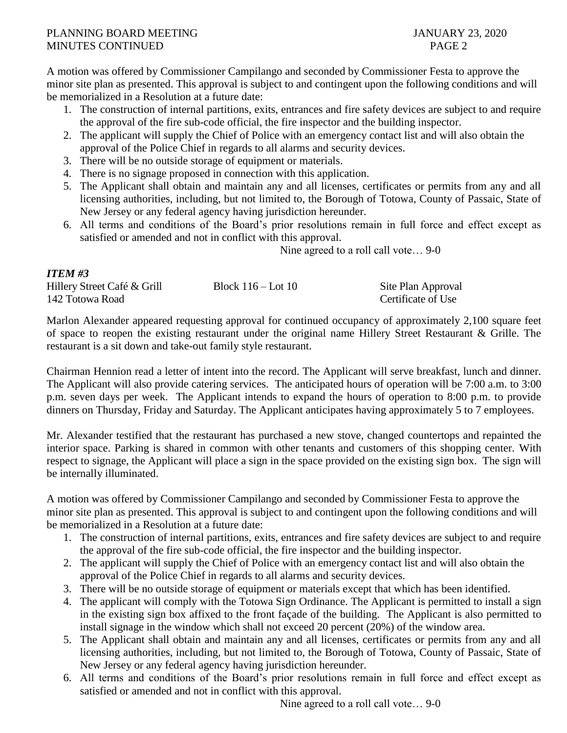# PLANNING BOARD MEETING JANUARY 23, 2020 MINUTES CONTINUED **PAGE 2**

*ITEM #3*

A motion was offered by Commissioner Campilango and seconded by Commissioner Festa to approve the minor site plan as presented. This approval is subject to and contingent upon the following conditions and will be memorialized in a Resolution at a future date:

- 1. The construction of internal partitions, exits, entrances and fire safety devices are subject to and require the approval of the fire sub-code official, the fire inspector and the building inspector.
- 2. The applicant will supply the Chief of Police with an emergency contact list and will also obtain the approval of the Police Chief in regards to all alarms and security devices.
- 3. There will be no outside storage of equipment or materials.
- 4. There is no signage proposed in connection with this application.
- 5. The Applicant shall obtain and maintain any and all licenses, certificates or permits from any and all licensing authorities, including, but not limited to, the Borough of Totowa, County of Passaic, State of New Jersey or any federal agency having jurisdiction hereunder.
- 6. All terms and conditions of the Board's prior resolutions remain in full force and effect except as satisfied or amended and not in conflict with this approval.

Nine agreed to a roll call vote… 9-0

| -------                     |                        |                    |
|-----------------------------|------------------------|--------------------|
| Hillery Street Café & Grill | Block $116 -$ Lot $10$ | Site Plan Approval |
| 142 Totowa Road             |                        | Certificate of Use |

Marlon Alexander appeared requesting approval for continued occupancy of approximately 2,100 square feet of space to reopen the existing restaurant under the original name Hillery Street Restaurant & Grille. The restaurant is a sit down and take-out family style restaurant.

Chairman Hennion read a letter of intent into the record. The Applicant will serve breakfast, lunch and dinner. The Applicant will also provide catering services. The anticipated hours of operation will be 7:00 a.m. to 3:00 p.m. seven days per week. The Applicant intends to expand the hours of operation to 8:00 p.m. to provide dinners on Thursday, Friday and Saturday. The Applicant anticipates having approximately 5 to 7 employees.

Mr. Alexander testified that the restaurant has purchased a new stove, changed countertops and repainted the interior space. Parking is shared in common with other tenants and customers of this shopping center. With respect to signage, the Applicant will place a sign in the space provided on the existing sign box. The sign will be internally illuminated.

A motion was offered by Commissioner Campilango and seconded by Commissioner Festa to approve the minor site plan as presented. This approval is subject to and contingent upon the following conditions and will be memorialized in a Resolution at a future date:

- 1. The construction of internal partitions, exits, entrances and fire safety devices are subject to and require the approval of the fire sub-code official, the fire inspector and the building inspector.
- 2. The applicant will supply the Chief of Police with an emergency contact list and will also obtain the approval of the Police Chief in regards to all alarms and security devices.
- 3. There will be no outside storage of equipment or materials except that which has been identified.
- 4. The applicant will comply with the Totowa Sign Ordinance. The Applicant is permitted to install a sign in the existing sign box affixed to the front façade of the building. The Applicant is also permitted to install signage in the window which shall not exceed 20 percent (20%) of the window area.
- 5. The Applicant shall obtain and maintain any and all licenses, certificates or permits from any and all licensing authorities, including, but not limited to, the Borough of Totowa, County of Passaic, State of New Jersey or any federal agency having jurisdiction hereunder.
- 6. All terms and conditions of the Board's prior resolutions remain in full force and effect except as satisfied or amended and not in conflict with this approval.

Nine agreed to a roll call vote… 9-0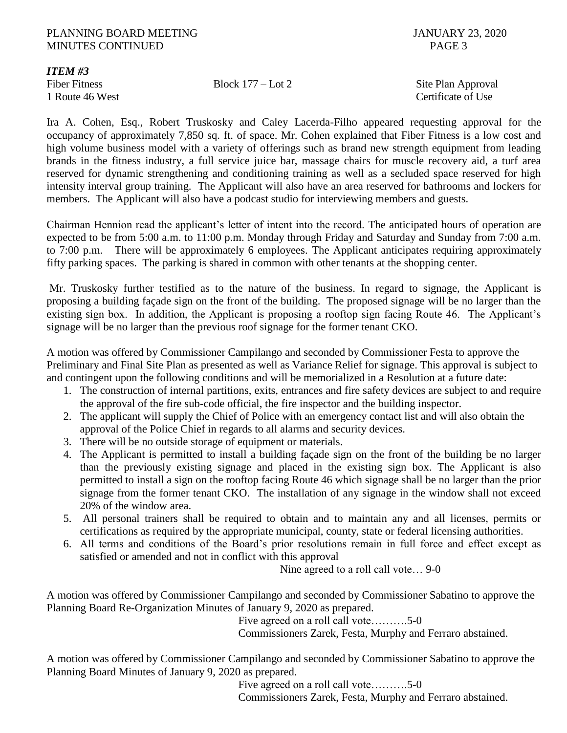# PLANNING BOARD MEETING **FULL AND SECURE 2020** JANUARY 23, 2020 MINUTES CONTINUED PAGE 3

*ITEM #3*

Fiber Fitness Block 177 – Lot 2 Site Plan Approval 1 Route 46 West **Certificate of Use** Certificate of Use

Ira A. Cohen, Esq., Robert Truskosky and Caley Lacerda-Filho appeared requesting approval for the occupancy of approximately 7,850 sq. ft. of space. Mr. Cohen explained that Fiber Fitness is a low cost and high volume business model with a variety of offerings such as brand new strength equipment from leading brands in the fitness industry, a full service juice bar, massage chairs for muscle recovery aid, a turf area reserved for dynamic strengthening and conditioning training as well as a secluded space reserved for high intensity interval group training. The Applicant will also have an area reserved for bathrooms and lockers for members. The Applicant will also have a podcast studio for interviewing members and guests.

Chairman Hennion read the applicant's letter of intent into the record. The anticipated hours of operation are expected to be from 5:00 a.m. to 11:00 p.m. Monday through Friday and Saturday and Sunday from 7:00 a.m. to 7:00 p.m. There will be approximately 6 employees. The Applicant anticipates requiring approximately fifty parking spaces. The parking is shared in common with other tenants at the shopping center.

Mr. Truskosky further testified as to the nature of the business. In regard to signage, the Applicant is proposing a building façade sign on the front of the building. The proposed signage will be no larger than the existing sign box. In addition, the Applicant is proposing a rooftop sign facing Route 46. The Applicant's signage will be no larger than the previous roof signage for the former tenant CKO.

A motion was offered by Commissioner Campilango and seconded by Commissioner Festa to approve the Preliminary and Final Site Plan as presented as well as Variance Relief for signage. This approval is subject to and contingent upon the following conditions and will be memorialized in a Resolution at a future date:

- 1. The construction of internal partitions, exits, entrances and fire safety devices are subject to and require the approval of the fire sub-code official, the fire inspector and the building inspector.
- 2. The applicant will supply the Chief of Police with an emergency contact list and will also obtain the approval of the Police Chief in regards to all alarms and security devices.
- 3. There will be no outside storage of equipment or materials.
- 4. The Applicant is permitted to install a building façade sign on the front of the building be no larger than the previously existing signage and placed in the existing sign box. The Applicant is also permitted to install a sign on the rooftop facing Route 46 which signage shall be no larger than the prior signage from the former tenant CKO. The installation of any signage in the window shall not exceed 20% of the window area.
- 5. All personal trainers shall be required to obtain and to maintain any and all licenses, permits or certifications as required by the appropriate municipal, county, state or federal licensing authorities.
- 6. All terms and conditions of the Board's prior resolutions remain in full force and effect except as satisfied or amended and not in conflict with this approval

Nine agreed to a roll call vote… 9-0

A motion was offered by Commissioner Campilango and seconded by Commissioner Sabatino to approve the Planning Board Re-Organization Minutes of January 9, 2020 as prepared.

Five agreed on a roll call vote……….5-0

Commissioners Zarek, Festa, Murphy and Ferraro abstained.

A motion was offered by Commissioner Campilango and seconded by Commissioner Sabatino to approve the Planning Board Minutes of January 9, 2020 as prepared.

Five agreed on a roll call vote……….5-0 Commissioners Zarek, Festa, Murphy and Ferraro abstained.